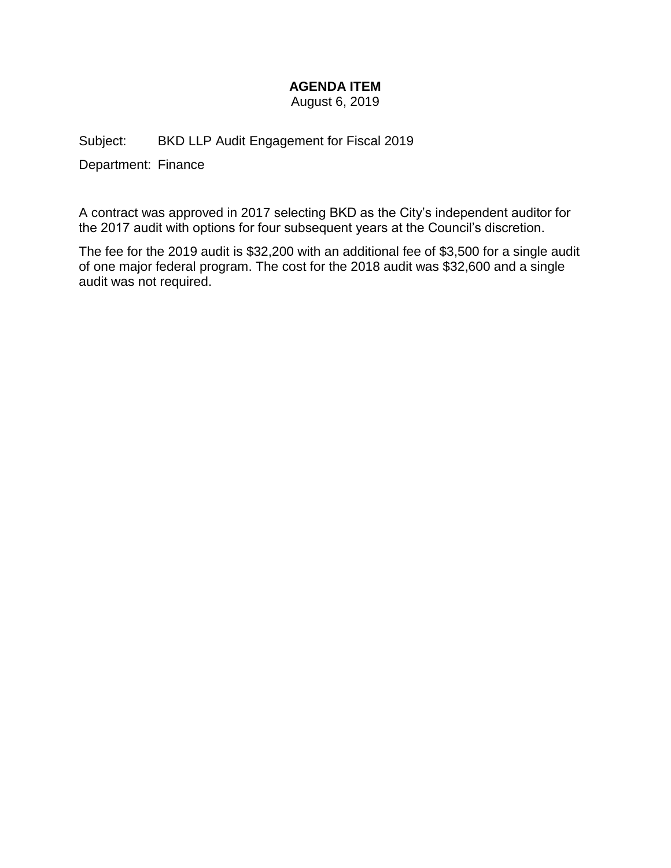# **AGENDA ITEM**

August 6, 2019

Subject: BKD LLP Audit Engagement for Fiscal 2019

Department: Finance

A contract was approved in 2017 selecting BKD as the City's independent auditor for the 2017 audit with options for four subsequent years at the Council's discretion.

The fee for the 2019 audit is \$32,200 with an additional fee of \$3,500 for a single audit of one major federal program. The cost for the 2018 audit was \$32,600 and a single audit was not required.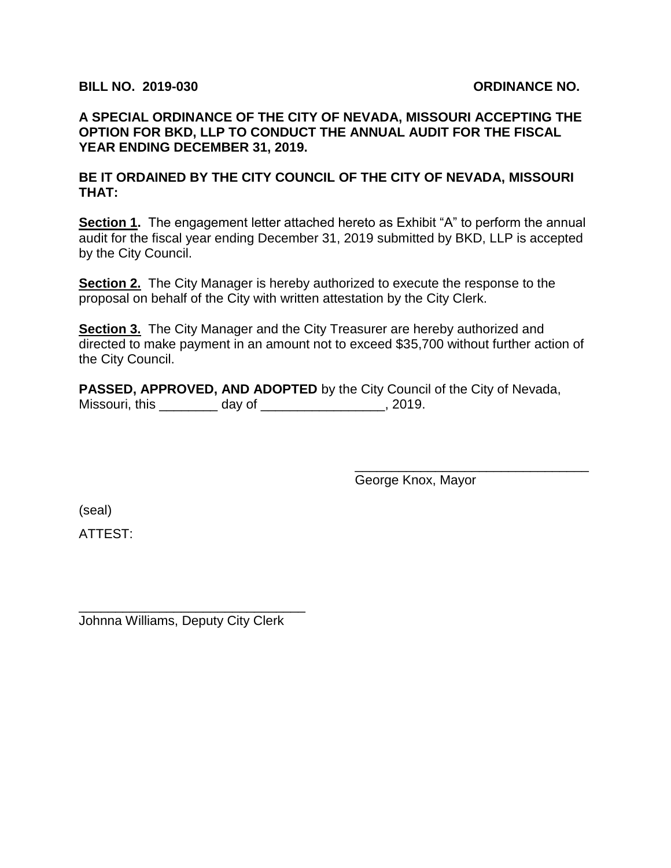## **BILL NO. 2019-030 ORDINANCE NO.**

**A SPECIAL ORDINANCE OF THE CITY OF NEVADA, MISSOURI ACCEPTING THE OPTION FOR BKD, LLP TO CONDUCT THE ANNUAL AUDIT FOR THE FISCAL YEAR ENDING DECEMBER 31, 2019.**

**BE IT ORDAINED BY THE CITY COUNCIL OF THE CITY OF NEVADA, MISSOURI THAT:**

**Section 1.** The engagement letter attached hereto as Exhibit "A" to perform the annual audit for the fiscal year ending December 31, 2019 submitted by BKD, LLP is accepted by the City Council.

**Section 2.** The City Manager is hereby authorized to execute the response to the proposal on behalf of the City with written attestation by the City Clerk.

**Section 3.** The City Manager and the City Treasurer are hereby authorized and directed to make payment in an amount not to exceed \$35,700 without further action of the City Council.

**PASSED, APPROVED, AND ADOPTED** by the City Council of the City of Nevada, Missouri, this \_\_\_\_\_\_\_\_ day of \_\_\_\_\_\_\_\_\_\_\_\_\_\_\_\_\_, 2019.

George Knox, Mayor

\_\_\_\_\_\_\_\_\_\_\_\_\_\_\_\_\_\_\_\_\_\_\_\_\_\_\_\_\_\_\_\_

(seal)

ATTEST:

Johnna Williams, Deputy City Clerk

\_\_\_\_\_\_\_\_\_\_\_\_\_\_\_\_\_\_\_\_\_\_\_\_\_\_\_\_\_\_\_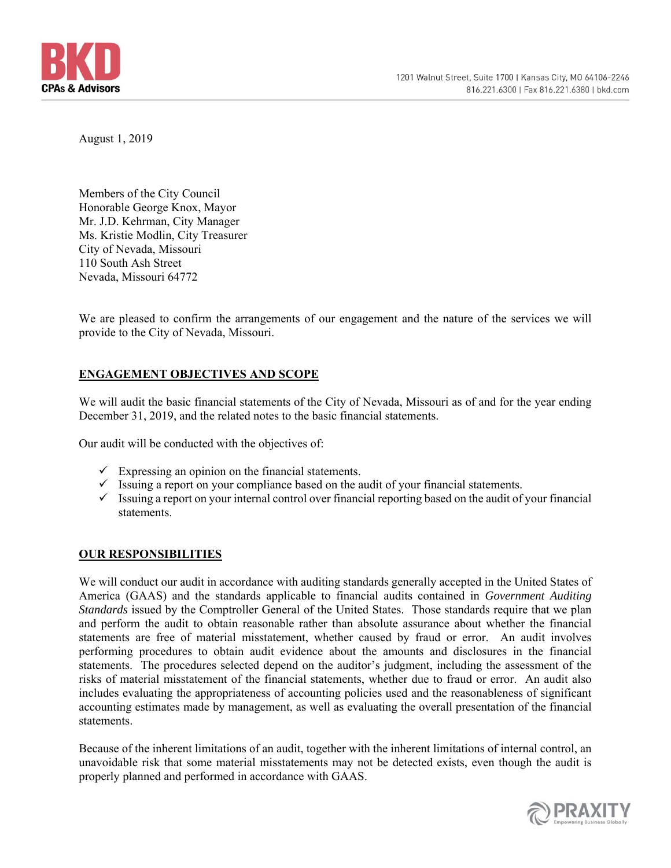

August 1, 2019

Members of the City Council Honorable George Knox, Mayor Mr. J.D. Kehrman, City Manager Ms. Kristie Modlin, City Treasurer City of Nevada, Missouri 110 South Ash Street Nevada, Missouri 64772

We are pleased to confirm the arrangements of our engagement and the nature of the services we will provide to the City of Nevada, Missouri.

## **ENGAGEMENT OBJECTIVES AND SCOPE**

We will audit the basic financial statements of the City of Nevada, Missouri as of and for the year ending December 31, 2019, and the related notes to the basic financial statements.

Our audit will be conducted with the objectives of:

- $\checkmark$  Expressing an opinion on the financial statements.
- $\checkmark$  Issuing a report on your compliance based on the audit of your financial statements.
- $\checkmark$  Issuing a report on your internal control over financial reporting based on the audit of your financial statements.

## **OUR RESPONSIBILITIES**

We will conduct our audit in accordance with auditing standards generally accepted in the United States of America (GAAS) and the standards applicable to financial audits contained in *Government Auditing Standards* issued by the Comptroller General of the United States. Those standards require that we plan and perform the audit to obtain reasonable rather than absolute assurance about whether the financial statements are free of material misstatement, whether caused by fraud or error. An audit involves performing procedures to obtain audit evidence about the amounts and disclosures in the financial statements. The procedures selected depend on the auditor's judgment, including the assessment of the risks of material misstatement of the financial statements, whether due to fraud or error. An audit also includes evaluating the appropriateness of accounting policies used and the reasonableness of significant accounting estimates made by management, as well as evaluating the overall presentation of the financial statements.

Because of the inherent limitations of an audit, together with the inherent limitations of internal control, an unavoidable risk that some material misstatements may not be detected exists, even though the audit is properly planned and performed in accordance with GAAS.

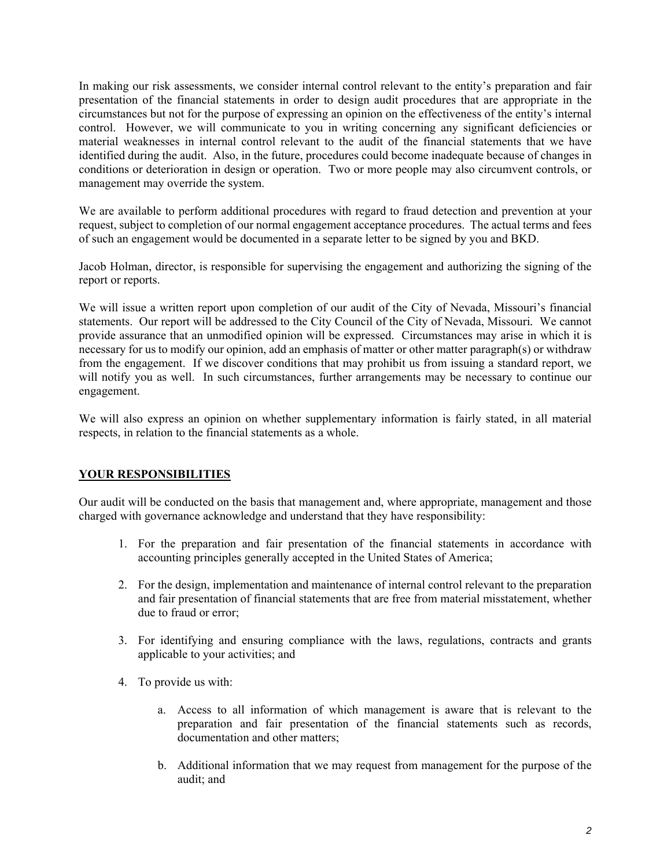In making our risk assessments, we consider internal control relevant to the entity's preparation and fair presentation of the financial statements in order to design audit procedures that are appropriate in the circumstances but not for the purpose of expressing an opinion on the effectiveness of the entity's internal control. However, we will communicate to you in writing concerning any significant deficiencies or material weaknesses in internal control relevant to the audit of the financial statements that we have identified during the audit. Also, in the future, procedures could become inadequate because of changes in conditions or deterioration in design or operation. Two or more people may also circumvent controls, or management may override the system.

We are available to perform additional procedures with regard to fraud detection and prevention at your request, subject to completion of our normal engagement acceptance procedures. The actual terms and fees of such an engagement would be documented in a separate letter to be signed by you and BKD.

Jacob Holman, director, is responsible for supervising the engagement and authorizing the signing of the report or reports.

We will issue a written report upon completion of our audit of the City of Nevada, Missouri's financial statements. Our report will be addressed to the City Council of the City of Nevada, Missouri*.* We cannot provide assurance that an unmodified opinion will be expressed. Circumstances may arise in which it is necessary for us to modify our opinion, add an emphasis of matter or other matter paragraph(s) or withdraw from the engagement. If we discover conditions that may prohibit us from issuing a standard report, we will notify you as well. In such circumstances, further arrangements may be necessary to continue our engagement.

We will also express an opinion on whether supplementary information is fairly stated, in all material respects, in relation to the financial statements as a whole.

## **YOUR RESPONSIBILITIES**

Our audit will be conducted on the basis that management and, where appropriate, management and those charged with governance acknowledge and understand that they have responsibility:

- 1. For the preparation and fair presentation of the financial statements in accordance with accounting principles generally accepted in the United States of America;
- 2. For the design, implementation and maintenance of internal control relevant to the preparation and fair presentation of financial statements that are free from material misstatement, whether due to fraud or error;
- 3. For identifying and ensuring compliance with the laws, regulations, contracts and grants applicable to your activities; and
- 4. To provide us with:
	- a. Access to all information of which management is aware that is relevant to the preparation and fair presentation of the financial statements such as records, documentation and other matters;
	- b. Additional information that we may request from management for the purpose of the audit; and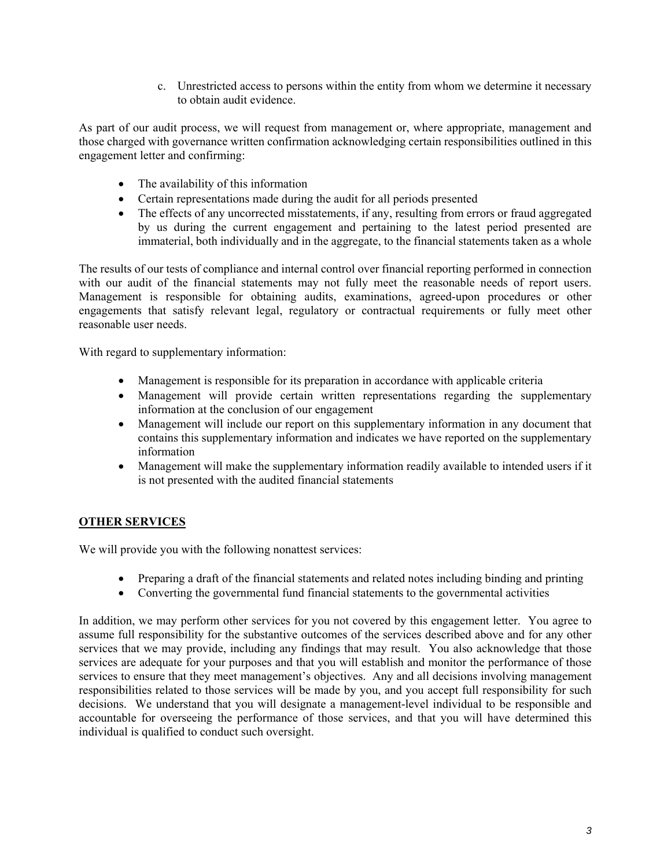c. Unrestricted access to persons within the entity from whom we determine it necessary to obtain audit evidence.

As part of our audit process, we will request from management or, where appropriate, management and those charged with governance written confirmation acknowledging certain responsibilities outlined in this engagement letter and confirming:

- The availability of this information
- Certain representations made during the audit for all periods presented
- The effects of any uncorrected misstatements, if any, resulting from errors or fraud aggregated by us during the current engagement and pertaining to the latest period presented are immaterial, both individually and in the aggregate, to the financial statements taken as a whole

The results of our tests of compliance and internal control over financial reporting performed in connection with our audit of the financial statements may not fully meet the reasonable needs of report users. Management is responsible for obtaining audits, examinations, agreed-upon procedures or other engagements that satisfy relevant legal, regulatory or contractual requirements or fully meet other reasonable user needs.

With regard to supplementary information:

- Management is responsible for its preparation in accordance with applicable criteria
- Management will provide certain written representations regarding the supplementary information at the conclusion of our engagement
- Management will include our report on this supplementary information in any document that contains this supplementary information and indicates we have reported on the supplementary information
- Management will make the supplementary information readily available to intended users if it is not presented with the audited financial statements

## **OTHER SERVICES**

We will provide you with the following nonattest services:

- Preparing a draft of the financial statements and related notes including binding and printing
- Converting the governmental fund financial statements to the governmental activities

In addition, we may perform other services for you not covered by this engagement letter. You agree to assume full responsibility for the substantive outcomes of the services described above and for any other services that we may provide, including any findings that may result. You also acknowledge that those services are adequate for your purposes and that you will establish and monitor the performance of those services to ensure that they meet management's objectives. Any and all decisions involving management responsibilities related to those services will be made by you, and you accept full responsibility for such decisions. We understand that you will designate a management-level individual to be responsible and accountable for overseeing the performance of those services, and that you will have determined this individual is qualified to conduct such oversight.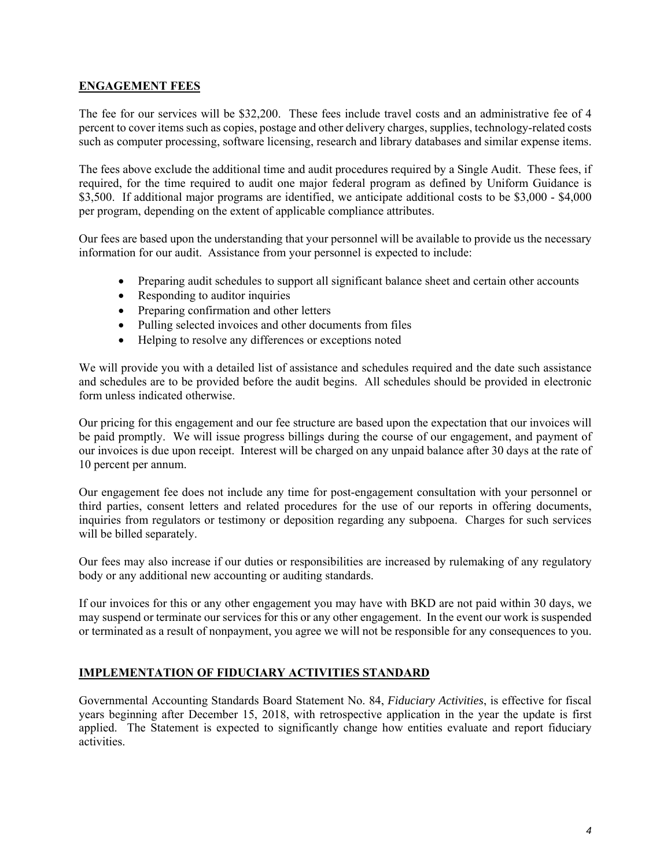#### **ENGAGEMENT FEES**

The fee for our services will be \$32,200. These fees include travel costs and an administrative fee of 4 percent to cover items such as copies, postage and other delivery charges, supplies, technology-related costs such as computer processing, software licensing, research and library databases and similar expense items.

The fees above exclude the additional time and audit procedures required by a Single Audit. These fees, if required, for the time required to audit one major federal program as defined by Uniform Guidance is \$3,500. If additional major programs are identified, we anticipate additional costs to be \$3,000 - \$4,000 per program, depending on the extent of applicable compliance attributes.

Our fees are based upon the understanding that your personnel will be available to provide us the necessary information for our audit. Assistance from your personnel is expected to include:

- Preparing audit schedules to support all significant balance sheet and certain other accounts
- Responding to auditor inquiries
- Preparing confirmation and other letters
- Pulling selected invoices and other documents from files
- Helping to resolve any differences or exceptions noted

We will provide you with a detailed list of assistance and schedules required and the date such assistance and schedules are to be provided before the audit begins. All schedules should be provided in electronic form unless indicated otherwise.

Our pricing for this engagement and our fee structure are based upon the expectation that our invoices will be paid promptly. We will issue progress billings during the course of our engagement, and payment of our invoices is due upon receipt. Interest will be charged on any unpaid balance after 30 days at the rate of 10 percent per annum.

Our engagement fee does not include any time for post-engagement consultation with your personnel or third parties, consent letters and related procedures for the use of our reports in offering documents, inquiries from regulators or testimony or deposition regarding any subpoena. Charges for such services will be billed separately.

Our fees may also increase if our duties or responsibilities are increased by rulemaking of any regulatory body or any additional new accounting or auditing standards.

If our invoices for this or any other engagement you may have with BKD are not paid within 30 days, we may suspend or terminate our services for this or any other engagement. In the event our work is suspended or terminated as a result of nonpayment, you agree we will not be responsible for any consequences to you.

## **IMPLEMENTATION OF FIDUCIARY ACTIVITIES STANDARD**

Governmental Accounting Standards Board Statement No. 84, *Fiduciary Activities*, is effective for fiscal years beginning after December 15, 2018, with retrospective application in the year the update is first applied. The Statement is expected to significantly change how entities evaluate and report fiduciary activities.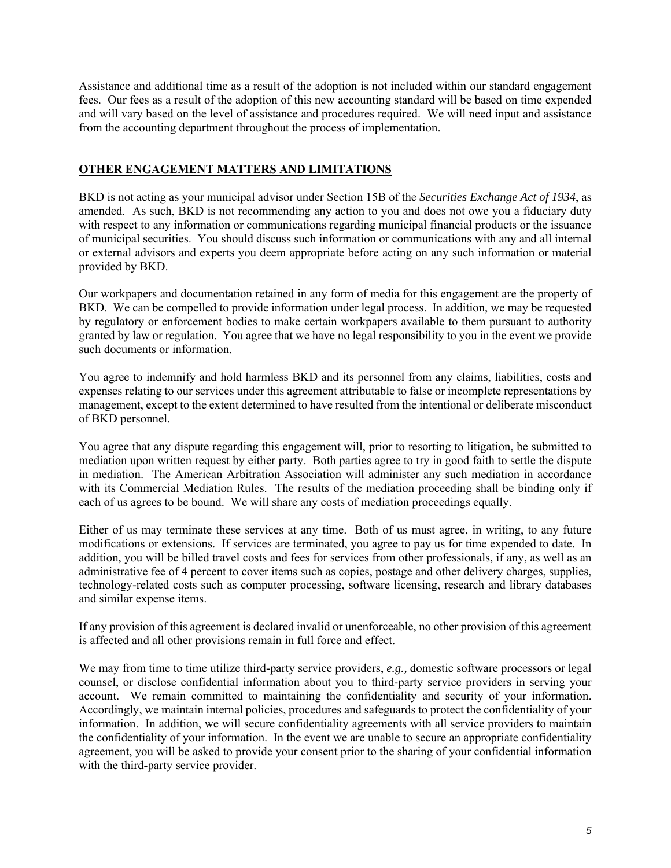Assistance and additional time as a result of the adoption is not included within our standard engagement fees. Our fees as a result of the adoption of this new accounting standard will be based on time expended and will vary based on the level of assistance and procedures required. We will need input and assistance from the accounting department throughout the process of implementation.

#### **OTHER ENGAGEMENT MATTERS AND LIMITATIONS**

BKD is not acting as your municipal advisor under Section 15B of the *Securities Exchange Act of 1934*, as amended. As such, BKD is not recommending any action to you and does not owe you a fiduciary duty with respect to any information or communications regarding municipal financial products or the issuance of municipal securities. You should discuss such information or communications with any and all internal or external advisors and experts you deem appropriate before acting on any such information or material provided by BKD.

Our workpapers and documentation retained in any form of media for this engagement are the property of BKD. We can be compelled to provide information under legal process. In addition, we may be requested by regulatory or enforcement bodies to make certain workpapers available to them pursuant to authority granted by law or regulation. You agree that we have no legal responsibility to you in the event we provide such documents or information.

You agree to indemnify and hold harmless BKD and its personnel from any claims, liabilities, costs and expenses relating to our services under this agreement attributable to false or incomplete representations by management, except to the extent determined to have resulted from the intentional or deliberate misconduct of BKD personnel.

You agree that any dispute regarding this engagement will, prior to resorting to litigation, be submitted to mediation upon written request by either party. Both parties agree to try in good faith to settle the dispute in mediation. The American Arbitration Association will administer any such mediation in accordance with its Commercial Mediation Rules. The results of the mediation proceeding shall be binding only if each of us agrees to be bound. We will share any costs of mediation proceedings equally.

Either of us may terminate these services at any time. Both of us must agree, in writing, to any future modifications or extensions. If services are terminated, you agree to pay us for time expended to date. In addition, you will be billed travel costs and fees for services from other professionals, if any, as well as an administrative fee of 4 percent to cover items such as copies, postage and other delivery charges, supplies, technology-related costs such as computer processing, software licensing, research and library databases and similar expense items.

If any provision of this agreement is declared invalid or unenforceable, no other provision of this agreement is affected and all other provisions remain in full force and effect.

We may from time to time utilize third-party service providers, *e.g.,* domestic software processors or legal counsel, or disclose confidential information about you to third-party service providers in serving your account. We remain committed to maintaining the confidentiality and security of your information. Accordingly, we maintain internal policies, procedures and safeguards to protect the confidentiality of your information. In addition, we will secure confidentiality agreements with all service providers to maintain the confidentiality of your information. In the event we are unable to secure an appropriate confidentiality agreement, you will be asked to provide your consent prior to the sharing of your confidential information with the third-party service provider.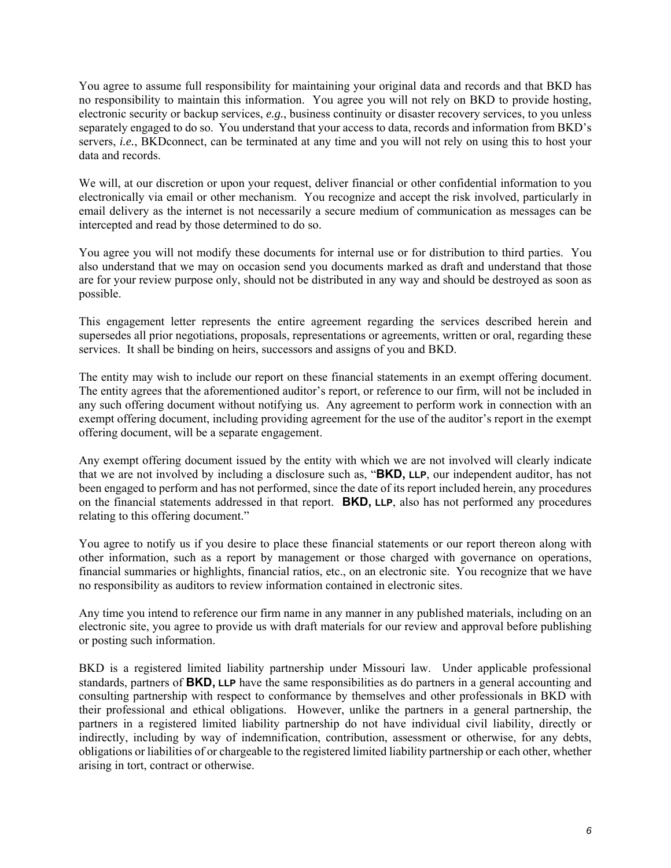You agree to assume full responsibility for maintaining your original data and records and that BKD has no responsibility to maintain this information. You agree you will not rely on BKD to provide hosting, electronic security or backup services, *e.g.*, business continuity or disaster recovery services, to you unless separately engaged to do so. You understand that your access to data, records and information from BKD's servers, *i.e.*, BKDconnect, can be terminated at any time and you will not rely on using this to host your data and records.

We will, at our discretion or upon your request, deliver financial or other confidential information to you electronically via email or other mechanism. You recognize and accept the risk involved, particularly in email delivery as the internet is not necessarily a secure medium of communication as messages can be intercepted and read by those determined to do so.

You agree you will not modify these documents for internal use or for distribution to third parties. You also understand that we may on occasion send you documents marked as draft and understand that those are for your review purpose only, should not be distributed in any way and should be destroyed as soon as possible.

This engagement letter represents the entire agreement regarding the services described herein and supersedes all prior negotiations, proposals, representations or agreements, written or oral, regarding these services. It shall be binding on heirs, successors and assigns of you and BKD.

The entity may wish to include our report on these financial statements in an exempt offering document. The entity agrees that the aforementioned auditor's report, or reference to our firm, will not be included in any such offering document without notifying us. Any agreement to perform work in connection with an exempt offering document, including providing agreement for the use of the auditor's report in the exempt offering document, will be a separate engagement.

Any exempt offering document issued by the entity with which we are not involved will clearly indicate that we are not involved by including a disclosure such as, "**BKD, LLP**, our independent auditor, has not been engaged to perform and has not performed, since the date of its report included herein, any procedures on the financial statements addressed in that report. **BKD, LLP**, also has not performed any procedures relating to this offering document."

You agree to notify us if you desire to place these financial statements or our report thereon along with other information, such as a report by management or those charged with governance on operations, financial summaries or highlights, financial ratios, etc., on an electronic site. You recognize that we have no responsibility as auditors to review information contained in electronic sites.

Any time you intend to reference our firm name in any manner in any published materials, including on an electronic site, you agree to provide us with draft materials for our review and approval before publishing or posting such information.

BKD is a registered limited liability partnership under Missouri law. Under applicable professional standards, partners of **BKD, LLP** have the same responsibilities as do partners in a general accounting and consulting partnership with respect to conformance by themselves and other professionals in BKD with their professional and ethical obligations. However, unlike the partners in a general partnership, the partners in a registered limited liability partnership do not have individual civil liability, directly or indirectly, including by way of indemnification, contribution, assessment or otherwise, for any debts, obligations or liabilities of or chargeable to the registered limited liability partnership or each other, whether arising in tort, contract or otherwise.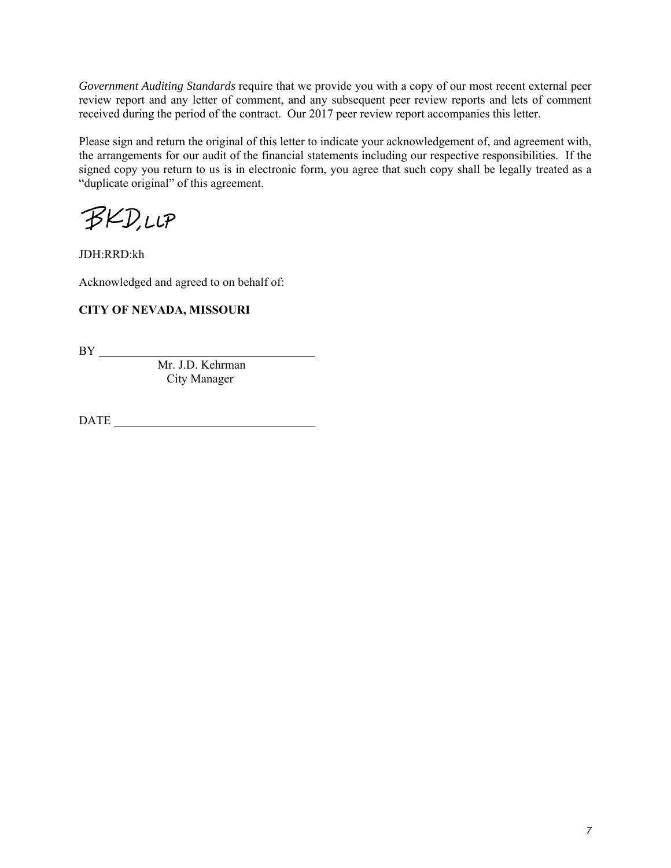*Government Auditing Standards* require that we provide you with a copy of our most recent external peer review report and any letter of comment, and any subsequent peer review reports and lets of comment received during the period of the contract. Our 2017 peer review report accompanies this letter.

Please sign and return the original of this letter to indicate your acknowledgement of, and agreement with, the arrangements for our audit of the financial statements including our respective responsibilities. If the signed copy you return to us is in electronic form, you agree that such copy shall be legally treated as a "duplicate original" of this agreement.

**BKD,LLP** 

JDH:RRD:kh

Acknowledged and agreed to on behalf of:

## **CITY OF NEVADA, MISSOURI**

BY

 Mr. J.D. Kehrman City Manager

DATE